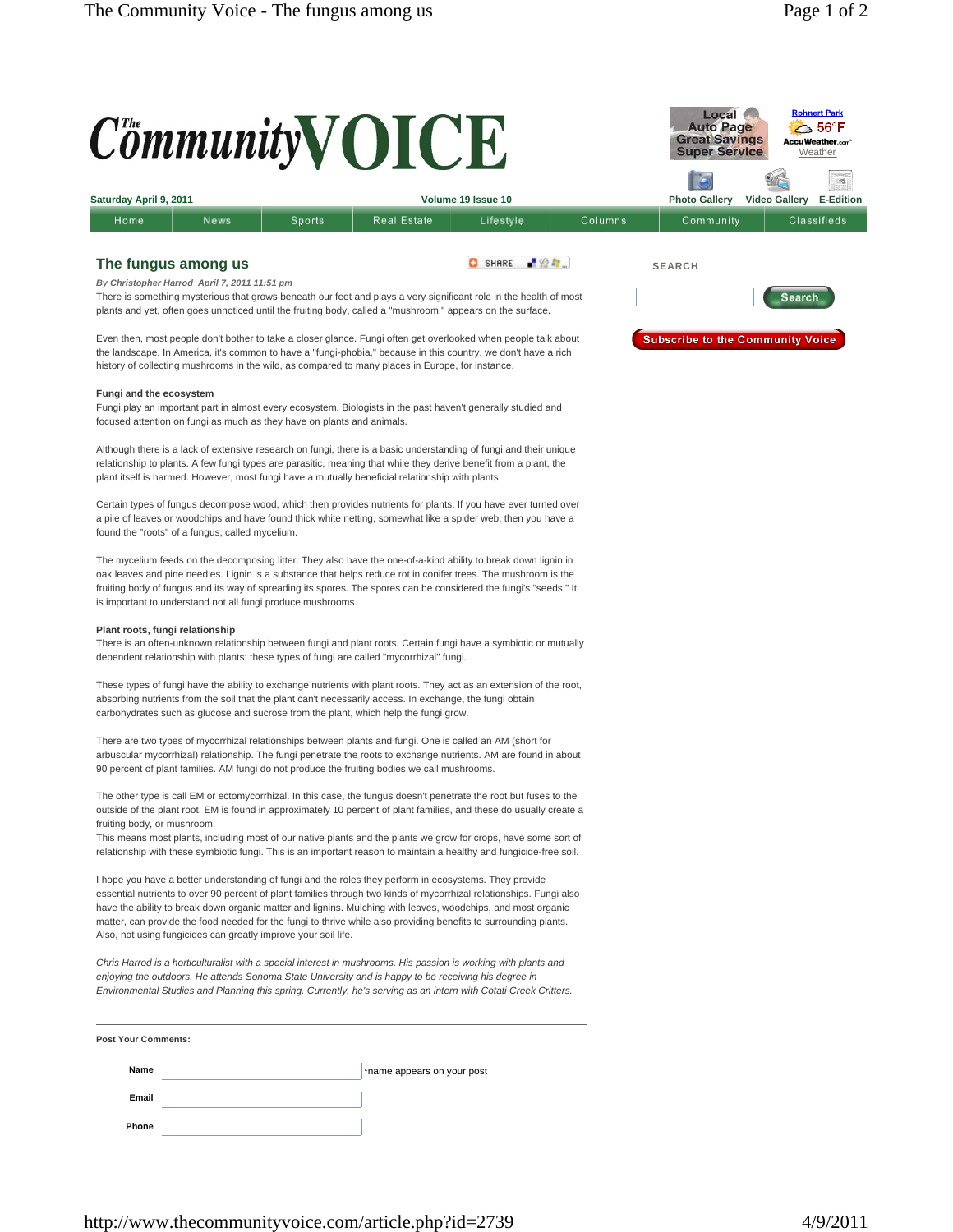

Fungi play an important part in almost every ecosystem. Biologists in the past haven't generally studied and focused attention on fungi as much as they have on plants and animals.

Although there is a lack of extensive research on fungi, there is a basic understanding of fungi and their unique relationship to plants. A few fungi types are parasitic, meaning that while they derive benefit from a plant, the plant itself is harmed. However, most fungi have a mutually beneficial relationship with plants.

Certain types of fungus decompose wood, which then provides nutrients for plants. If you have ever turned over a pile of leaves or woodchips and have found thick white netting, somewhat like a spider web, then you have a found the "roots" of a fungus, called mycelium.

The mycelium feeds on the decomposing litter. They also have the one-of-a-kind ability to break down lignin in oak leaves and pine needles. Lignin is a substance that helps reduce rot in conifer trees. The mushroom is the fruiting body of fungus and its way of spreading its spores. The spores can be considered the fungi's "seeds." It is important to understand not all fungi produce mushrooms.

## **Plant roots, fungi relationship**

There is an often-unknown relationship between fungi and plant roots. Certain fungi have a symbiotic or mutually dependent relationship with plants; these types of fungi are called "mycorrhizal" fungi.

These types of fungi have the ability to exchange nutrients with plant roots. They act as an extension of the root, absorbing nutrients from the soil that the plant can't necessarily access. In exchange, the fungi obtain carbohydrates such as glucose and sucrose from the plant, which help the fungi grow.

There are two types of mycorrhizal relationships between plants and fungi. One is called an AM (short for arbuscular mycorrhizal) relationship. The fungi penetrate the roots to exchange nutrients. AM are found in about 90 percent of plant families. AM fungi do not produce the fruiting bodies we call mushrooms.

The other type is call EM or ectomycorrhizal. In this case, the fungus doesn't penetrate the root but fuses to the outside of the plant root. EM is found in approximately 10 percent of plant families, and these do usually create a fruiting body, or mushroom.

This means most plants, including most of our native plants and the plants we grow for crops, have some sort of relationship with these symbiotic fungi. This is an important reason to maintain a healthy and fungicide-free soil.

I hope you have a better understanding of fungi and the roles they perform in ecosystems. They provide essential nutrients to over 90 percent of plant families through two kinds of mycorrhizal relationships. Fungi also have the ability to break down organic matter and lignins. Mulching with leaves, woodchips, and most organic matter, can provide the food needed for the fungi to thrive while also providing benefits to surrounding plants. Also, not using fungicides can greatly improve your soil life.

*Chris Harrod is a horticulturalist with a special interest in mushrooms. His passion is working with plants and enjoying the outdoors. He attends Sonoma State University and is happy to be receiving his degree in Environmental Studies and Planning this spring. Currently, he's serving as an intern with Cotati Creek Critters.*

**Post Your Comments:** 

**Name** \*name appears on your post **Email** 

**Phone** 

http://www.thecommunityvoice.com/article.php?id=2739 4/9/2011